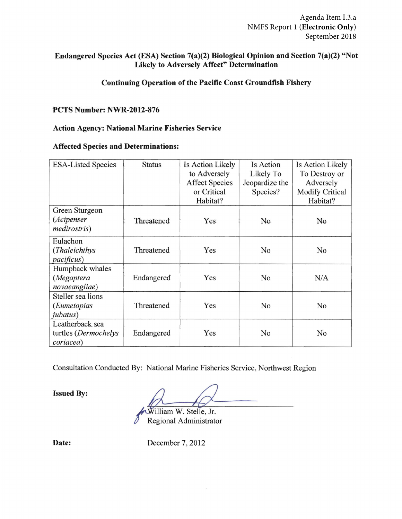Agenda Item I.3.a NMFS Report 1 (**Electronic Only**) September 2018

## Endangered Species Act (ESA) Section 7(a)(2) Biological Opinion and Section 7(a)(2) "Not Likely to Adversely Affect" Determination

## Continuing Operation of the Pacific Coast Groundfish Fishery

#### PCTS Number: NWR-2012-876

#### Action Agency: National Marine Fisheries Service

#### Affected Species and Determinations:

| <b>ESA-Listed Species</b>                            | <b>Status</b> | Is Action Likely      | Is Action      | Is Action Likely       |
|------------------------------------------------------|---------------|-----------------------|----------------|------------------------|
|                                                      |               | to Adversely          | Likely To      | To Destroy or          |
|                                                      |               | <b>Affect Species</b> | Jeopardize the | Adversely              |
|                                                      |               | or Critical           | Species?       | <b>Modify Critical</b> |
|                                                      |               | Habitat?              |                | Habitat?               |
| Green Sturgeon<br>(Acipenser<br><i>medirostris</i> ) | Threatened    | Yes                   | N <sub>0</sub> | No.                    |
| Eulachon                                             | Threatened    | Yes                   | No             |                        |
| (Thaleichthys)<br><i>pacificus</i> )                 |               |                       |                | No                     |
| Humpback whales                                      |               |                       |                |                        |
| (Megaptera                                           | Endangered    | Yes                   | No             | N/A                    |
| novaeangliae)                                        |               |                       |                |                        |
| Steller sea lions                                    |               |                       |                |                        |
| (Eumetopias                                          | Threatened    | Yes                   | No             | No                     |
| <i>jubatus</i> )                                     |               |                       |                |                        |
| Leatherback sea                                      |               |                       |                |                        |
| turtles (Dermochelys                                 | Endangered    | Yes                   | No             | No                     |
| coriacea)                                            |               |                       |                |                        |

Consultation Conducted By: National Marine Fisheries Service, Northwest Region

Issued By:

illiam W. Stelle, Jr. Regional Administrator

Date: December 7, 2012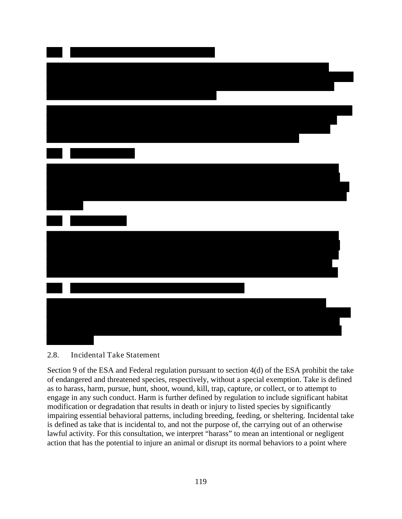### 2.8. Incidental Take Statement

Section 9 of the ESA and Federal regulation pursuant to section 4(d) of the ESA prohibit the take of endangered and threatened species, respectively, without a special exemption. Take is defined as to harass, harm, pursue, hunt, shoot, wound, kill, trap, capture, or collect, or to attempt to engage in any such conduct. Harm is further defined by regulation to include significant habitat modification or degradation that results in death or injury to listed species by significantly impairing essential behavioral patterns, including breeding, feeding, or sheltering. Incidental take is defined as take that is incidental to, and not the purpose of, the carrying out of an otherwise lawful activity. For this consultation, we interpret "harass" to mean an intentional or negligent action that has the potential to injure an animal or disrupt its normal behaviors to a point where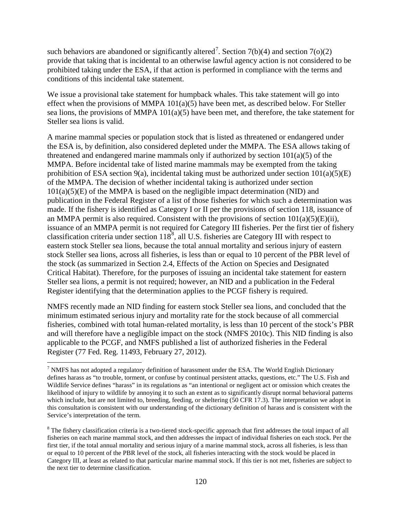such behaviors are abandoned or significantly altered<sup>[7](#page-2-0)</sup>. Section 7(b)(4) and section 7(o)(2) provide that taking that is incidental to an otherwise lawful agency action is not considered to be prohibited taking under the ESA, if that action is performed in compliance with the terms and conditions of this incidental take statement.

We issue a provisional take statement for humpback whales. This take statement will go into effect when the provisions of MMPA 101(a)(5) have been met, as described below. For Steller sea lions, the provisions of MMPA 101(a)(5) have been met, and therefore, the take statement for Steller sea lions is valid.

A marine mammal species or population stock that is listed as threatened or endangered under the ESA is, by definition, also considered depleted under the MMPA. The ESA allows taking of threatened and endangered marine mammals only if authorized by section 101(a)(5) of the MMPA. Before incidental take of listed marine mammals may be exempted from the taking prohibition of ESA section 9(a), incidental taking must be authorized under section  $101(a)(5)(E)$ of the MMPA. The decision of whether incidental taking is authorized under section  $101(a)(5)(E)$  of the MMPA is based on the negligible impact determination (NID) and publication in the Federal Register of a list of those fisheries for which such a determination was made. If the fishery is identified as Category I or II per the provisions of section 118, issuance of an MMPA permit is also required. Consistent with the provisions of section  $101(a)(5)(E)(ii)$ , issuance of an MMPA permit is not required for Category III fisheries. Per the first tier of fishery classification criteria under section  $118^8$  $118^8$  $118^8$ , all U.S. fisheries are Category III with respect to eastern stock Steller sea lions, because the total annual mortality and serious injury of eastern stock Steller sea lions, across all fisheries, is less than or equal to 10 percent of the PBR level of the stock (as summarized in Section 2.4, Effects of the Action on Species and Designated Critical Habitat). Therefore, for the purposes of issuing an incidental take statement for eastern Steller sea lions, a permit is not required; however, an NID and a publication in the Federal Register identifying that the determination applies to the PCGF fishery is required.

NMFS recently made an NID finding for eastern stock Steller sea lions, and concluded that the minimum estimated serious injury and mortality rate for the stock because of all commercial fisheries, combined with total human-related mortality, is less than 10 percent of the stock's PBR and will therefore have a negligible impact on the stock (NMFS 2010c). This NID finding is also applicable to the PCGF, and NMFS published a list of authorized fisheries in the Federal Register (77 Fed. Reg. 11493, February 27, 2012).

<span id="page-2-0"></span> $<sup>7</sup>$  NMFS has not adopted a regulatory definition of harassment under the ESA. The World English Dictionary</sup> defines harass as "to trouble, torment, or confuse by continual persistent attacks, questions, etc." The U.S. Fish and Wildlife Service defines "harass" in its regulations as "an intentional or negligent act or omission which creates the likelihood of injury to wildlife by annoying it to such an extent as to significantly disrupt normal behavioral patterns which include, but are not limited to, breeding, feeding, or sheltering (50 CFR 17.3). The interpretation we adopt in this consultation is consistent with our understanding of the dictionary definition of harass and is consistent with the Service's interpretation of the term.

<span id="page-2-1"></span><sup>&</sup>lt;sup>8</sup> The fishery classification criteria is a two-tiered stock-specific approach that first addresses the total impact of all fisheries on each marine mammal stock, and then addresses the impact of individual fisheries on each stock. Per the first tier, if the total annual mortality and serious injury of a marine mammal stock, across all fisheries, is less than or equal to 10 percent of the PBR level of the stock, all fisheries interacting with the stock would be placed in Category III, at least as related to that particular marine mammal stock. If this tier is not met, fisheries are subject to the next tier to determine classification.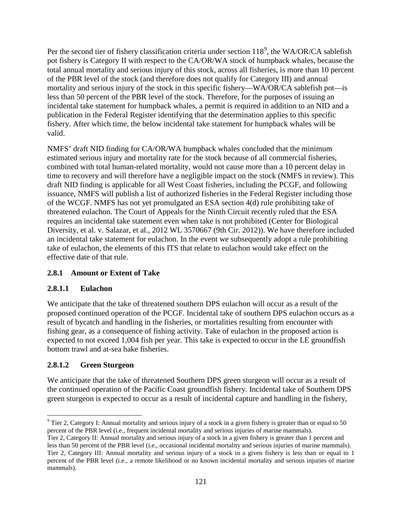Per the second tier of fishery classification criteria under section  $118^9$  $118^9$ , the WA/OR/CA sablefish pot fishery is Category II with respect to the CA/OR/WA stock of humpback whales, because the total annual mortality and serious injury of this stock, across all fisheries, is more than 10 percent of the PBR level of the stock (and therefore does not qualify for Category III) and annual mortality and serious injury of the stock in this specific fishery—WA/OR/CA sablefish pot—is less than 50 percent of the PBR level of the stock. Therefore, for the purposes of issuing an incidental take statement for humpback whales, a permit is required in addition to an NID and a publication in the Federal Register identifying that the determination applies to this specific fishery. After which time, the below incidental take statement for humpback whales will be valid.

NMFS' draft NID finding for CA/OR/WA humpback whales concluded that the minimum estimated serious injury and mortality rate for the stock because of all commercial fisheries, combined with total human-related mortality, would not cause more than a 10 percent delay in time to recovery and will therefore have a negligible impact on the stock (NMFS in review). This draft NID finding is applicable for all West Coast fisheries, including the PCGF, and following issuance, NMFS will publish a list of authorized fisheries in the Federal Register including those of the WCGF. NMFS has not yet promulgated an ESA section 4(d) rule prohibiting take of threatened eulachon. The Court of Appeals for the Ninth Circuit recently ruled that the ESA requires an incidental take statement even when take is not prohibited (Center for Biological Diversity, et al. v. Salazar, et al., 2012 WL 3570667 (9th Cir. 2012)). We have therefore included an incidental take statement for eulachon. In the event we subsequently adopt a rule prohibiting take of eulachon, the elements of this ITS that relate to eulachon would take effect on the effective date of that rule.

# **2.8.1 Amount or Extent of Take**

## **2.8.1.1 Eulachon**

We anticipate that the take of threatened southern DPS eulachon will occur as a result of the proposed continued operation of the PCGF. Incidental take of southern DPS eulachon occurs as a result of bycatch and handling in the fisheries, or mortalities resulting from encounter with fishing gear, as a consequence of fishing activity. Take of eulachon in the proposed action is expected to not exceed 1,004 fish per year. This take is expected to occur in the LE groundfish bottom trawl and at-sea hake fisheries.

## **2.8.1.2 Green Sturgeon**

We anticipate that the take of threatened Southern DPS green sturgeon will occur as a result of the continued operation of the Pacific Coast groundfish fishery. Incidental take of Southern DPS green sturgeon is expected to occur as a result of incidental capture and handling in the fishery,

<span id="page-3-0"></span><sup>&</sup>lt;sup>9</sup> Tier 2, Category I: Annual mortality and serious injury of a stock in a given fishery is greater than or equal to 50 percent of the PBR level (i.e., frequent incidental mortality and serious injuries of marine mammals).

Tier 2, Category II: Annual mortality and serious injury of a stock in a given fishery is greater than 1 percent and less than 50 percent of the PBR level (i.e., occasional incidental mortality and serious injuries of marine mammals). Tier 2, Category III: Annual mortality and serious injury of a stock in a given fishery is less than or equal to 1 percent of the PBR level (i.e., a remote likelihood or no known incidental mortality and serious injuries of marine mammals).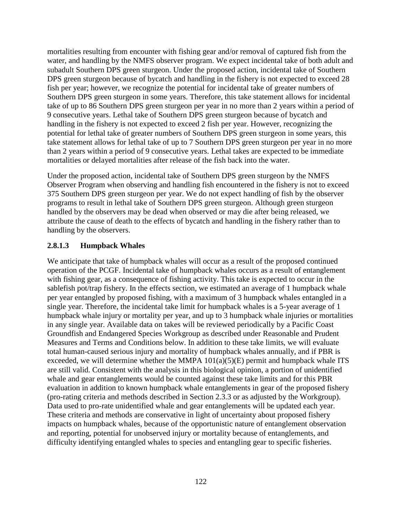mortalities resulting from encounter with fishing gear and/or removal of captured fish from the water, and handling by the NMFS observer program. We expect incidental take of both adult and subadult Southern DPS green sturgeon. Under the proposed action, incidental take of Southern DPS green sturgeon because of bycatch and handling in the fishery is not expected to exceed 28 fish per year; however, we recognize the potential for incidental take of greater numbers of Southern DPS green sturgeon in some years. Therefore, this take statement allows for incidental take of up to 86 Southern DPS green sturgeon per year in no more than 2 years within a period of 9 consecutive years. Lethal take of Southern DPS green sturgeon because of bycatch and handling in the fishery is not expected to exceed 2 fish per year. However, recognizing the potential for lethal take of greater numbers of Southern DPS green sturgeon in some years, this take statement allows for lethal take of up to 7 Southern DPS green sturgeon per year in no more than 2 years within a period of 9 consecutive years. Lethal takes are expected to be immediate mortalities or delayed mortalities after release of the fish back into the water.

Under the proposed action, incidental take of Southern DPS green sturgeon by the NMFS Observer Program when observing and handling fish encountered in the fishery is not to exceed 375 Southern DPS green sturgeon per year. We do not expect handling of fish by the observer programs to result in lethal take of Southern DPS green sturgeon. Although green sturgeon handled by the observers may be dead when observed or may die after being released, we attribute the cause of death to the effects of bycatch and handling in the fishery rather than to handling by the observers.

## **2.8.1.3 Humpback Whales**

We anticipate that take of humpback whales will occur as a result of the proposed continued operation of the PCGF. Incidental take of humpback whales occurs as a result of entanglement with fishing gear, as a consequence of fishing activity. This take is expected to occur in the sablefish pot/trap fishery. In the effects section, we estimated an average of 1 humpback whale per year entangled by proposed fishing, with a maximum of 3 humpback whales entangled in a single year. Therefore, the incidental take limit for humpback whales is a 5-year average of 1 humpback whale injury or mortality per year, and up to 3 humpback whale injuries or mortalities in any single year. Available data on takes will be reviewed periodically by a Pacific Coast Groundfish and Endangered Species Workgroup as described under Reasonable and Prudent Measures and Terms and Conditions below. In addition to these take limits, we will evaluate total human-caused serious injury and mortality of humpback whales annually, and if PBR is exceeded, we will determine whether the MMPA  $101(a)(5)(E)$  permit and humpback whale ITS are still valid. Consistent with the analysis in this biological opinion, a portion of unidentified whale and gear entanglements would be counted against these take limits and for this PBR evaluation in addition to known humpback whale entanglements in gear of the proposed fishery (pro-rating criteria and methods described in Section 2.3.3 or as adjusted by the Workgroup). Data used to pro-rate unidentified whale and gear entanglements will be updated each year. These criteria and methods are conservative in light of uncertainty about proposed fishery impacts on humpback whales, because of the opportunistic nature of entanglement observation and reporting, potential for unobserved injury or mortality because of entanglements, and difficulty identifying entangled whales to species and entangling gear to specific fisheries.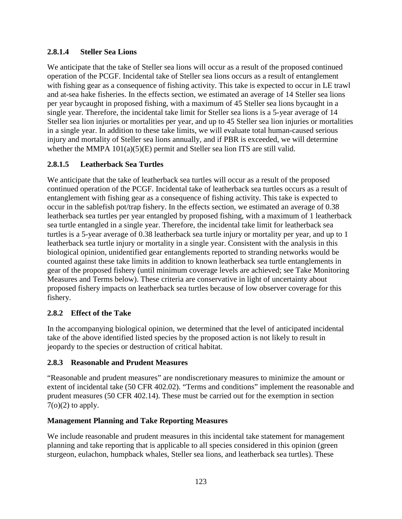## **2.8.1.4 Steller Sea Lions**

We anticipate that the take of Steller sea lions will occur as a result of the proposed continued operation of the PCGF. Incidental take of Steller sea lions occurs as a result of entanglement with fishing gear as a consequence of fishing activity. This take is expected to occur in LE trawl and at-sea hake fisheries. In the effects section, we estimated an average of 14 Steller sea lions per year bycaught in proposed fishing, with a maximum of 45 Steller sea lions bycaught in a single year. Therefore, the incidental take limit for Steller sea lions is a 5-year average of 14 Steller sea lion injuries or mortalities per year, and up to 45 Steller sea lion injuries or mortalities in a single year. In addition to these take limits, we will evaluate total human-caused serious injury and mortality of Steller sea lions annually, and if PBR is exceeded, we will determine whether the MMPA  $101(a)(5)(E)$  permit and Steller sea lion ITS are still valid.

# **2.8.1.5 Leatherback Sea Turtles**

We anticipate that the take of leatherback sea turtles will occur as a result of the proposed continued operation of the PCGF. Incidental take of leatherback sea turtles occurs as a result of entanglement with fishing gear as a consequence of fishing activity. This take is expected to occur in the sablefish pot/trap fishery. In the effects section, we estimated an average of 0.38 leatherback sea turtles per year entangled by proposed fishing, with a maximum of 1 leatherback sea turtle entangled in a single year. Therefore, the incidental take limit for leatherback sea turtles is a 5-year average of 0.38 leatherback sea turtle injury or mortality per year, and up to 1 leatherback sea turtle injury or mortality in a single year. Consistent with the analysis in this biological opinion, unidentified gear entanglements reported to stranding networks would be counted against these take limits in addition to known leatherback sea turtle entanglements in gear of the proposed fishery (until minimum coverage levels are achieved; see Take Monitoring Measures and Terms below). These criteria are conservative in light of uncertainty about proposed fishery impacts on leatherback sea turtles because of low observer coverage for this fishery.

## **2.8.2 Effect of the Take**

In the accompanying biological opinion, we determined that the level of anticipated incidental take of the above identified listed species by the proposed action is not likely to result in jeopardy to the species or destruction of critical habitat.

## **2.8.3 Reasonable and Prudent Measures**

"Reasonable and prudent measures" are nondiscretionary measures to minimize the amount or extent of incidental take (50 CFR 402.02). "Terms and conditions" implement the reasonable and prudent measures (50 CFR 402.14). These must be carried out for the exemption in section  $7<sub>(o)</sub>(2)$  to apply.

## **Management Planning and Take Reporting Measures**

We include reasonable and prudent measures in this incidental take statement for management planning and take reporting that is applicable to all species considered in this opinion (green sturgeon, eulachon, humpback whales, Steller sea lions, and leatherback sea turtles). These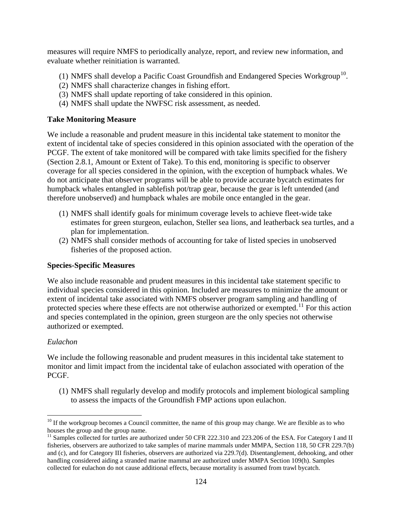measures will require NMFS to periodically analyze, report, and review new information, and evaluate whether reinitiation is warranted.

- (1) NMFS shall develop a Pacific Coast Groundfish and Endangered Species Workgroup<sup>[10](#page-6-0)</sup>.
- (2) NMFS shall characterize changes in fishing effort.
- (3) NMFS shall update reporting of take considered in this opinion.
- (4) NMFS shall update the NWFSC risk assessment, as needed.

### **Take Monitoring Measure**

We include a reasonable and prudent measure in this incidental take statement to monitor the extent of incidental take of species considered in this opinion associated with the operation of the PCGF. The extent of take monitored will be compared with take limits specified for the fishery (Section 2.8.1, Amount or Extent of Take). To this end, monitoring is specific to observer coverage for all species considered in the opinion, with the exception of humpback whales. We do not anticipate that observer programs will be able to provide accurate bycatch estimates for humpback whales entangled in sablefish pot/trap gear, because the gear is left untended (and therefore unobserved) and humpback whales are mobile once entangled in the gear.

- (1) NMFS shall identify goals for minimum coverage levels to achieve fleet-wide take estimates for green sturgeon, eulachon, Steller sea lions, and leatherback sea turtles, and a plan for implementation.
- (2) NMFS shall consider methods of accounting for take of listed species in unobserved fisheries of the proposed action.

### **Species-Specific Measures**

We also include reasonable and prudent measures in this incidental take statement specific to individual species considered in this opinion. Included are measures to minimize the amount or extent of incidental take associated with NMFS observer program sampling and handling of protected species where these effects are not otherwise authorized or exempted.<sup>[11](#page-6-1)</sup> For this action and species contemplated in the opinion, green sturgeon are the only species not otherwise authorized or exempted.

### *Eulachon*

We include the following reasonable and prudent measures in this incidental take statement to monitor and limit impact from the incidental take of eulachon associated with operation of the PCGF.

(1) NMFS shall regularly develop and modify protocols and implement biological sampling to assess the impacts of the Groundfish FMP actions upon eulachon.

<span id="page-6-0"></span><sup>&</sup>lt;sup>10</sup> If the workgroup becomes a Council committee, the name of this group may change. We are flexible as to who houses the group and the group name.

<span id="page-6-1"></span> $^{11}$  Samples collected for turtles are authorized under 50 CFR 222.310 and 223.206 of the ESA. For Category I and II fisheries, observers are authorized to take samples of marine mammals under MMPA, Section 118, 50 CFR 229.7(b) and (c), and for Category III fisheries, observers are authorized via 229.7(d). Disentanglement, dehooking, and other handling considered aiding a stranded marine mammal are authorized under MMPA Section 109(h). Samples collected for eulachon do not cause additional effects, because mortality is assumed from trawl bycatch.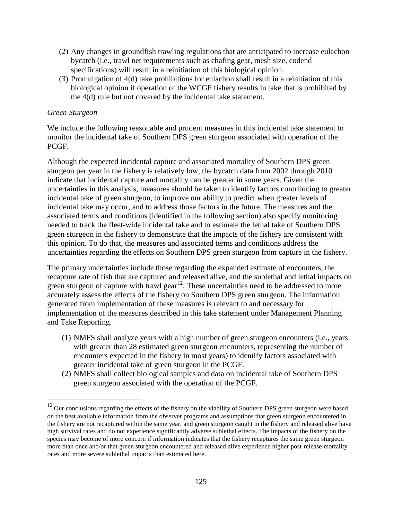- (2) Any changes in groundfish trawling regulations that are anticipated to increase eulachon bycatch (i.e., trawl net requirements such as chafing gear, mesh size, codend specifications) will result in a reinitiation of this biological opinion.
- (3) Promulgation of  $4(d)$  take prohibitions for eulachon shall result in a reinitiation of this biological opinion if operation of the WCGF fishery results in take that is prohibited by the 4(d) rule but not covered by the incidental take statement.

### *Green Sturgeon*

We include the following reasonable and prudent measures in this incidental take statement to monitor the incidental take of Southern DPS green sturgeon associated with operation of the PCGF.

Although the expected incidental capture and associated mortality of Southern DPS green sturgeon per year in the fishery is relatively low, the bycatch data from 2002 through 2010 indicate that incidental capture and mortality can be greater in some years. Given the uncertainties in this analysis, measures should be taken to identify factors contributing to greater incidental take of green sturgeon, to improve our ability to predict when greater levels of incidental take may occur, and to address those factors in the future. The measures and the associated terms and conditions (identified in the following section) also specify monitoring needed to track the fleet-wide incidental take and to estimate the lethal take of Southern DPS green sturgeon in the fishery to demonstrate that the impacts of the fishery are consistent with this opinion. To do that, the measures and associated terms and conditions address the uncertainties regarding the effects on Southern DPS green sturgeon from capture in the fishery.

The primary uncertainties include those regarding the expanded estimate of encounters, the recapture rate of fish that are captured and released alive, and the sublethal and lethal impacts on green sturgeon of capture with trawl gear $^{12}$  $^{12}$  $^{12}$ . These uncertainties need to be addressed to more accurately assess the effects of the fishery on Southern DPS green sturgeon. The information generated from implementation of these measures is relevant to and necessary for implementation of the measures described in this take statement under Management Planning and Take Reporting.

- (1) NMFS shall analyze years with a high number of green sturgeon encounters (i.e., years with greater than 28 estimated green sturgeon encounters, representing the number of encounters expected in the fishery in most years) to identify factors associated with greater incidental take of green sturgeon in the PCGF.
- (2) NMFS shall collect biological samples and data on incidental take of Southern DPS green sturgeon associated with the operation of the PCGF.

<span id="page-7-0"></span> $12$  Our conclusions regarding the effects of the fishery on the viability of Southern DPS green sturgeon were based on the best available information from the observer programs and assumptions that green sturgeon encountered in the fishery are not recaptured within the same year, and green sturgeon caught in the fishery and released alive have high survival rates and do not experience significantly adverse sublethal effects. The impacts of the fishery on the species may become of more concern if information indicates that the fishery recaptures the same green sturgeon more than once and/or that green sturgeon encountered and released alive experience higher post-release mortality rates and more severe sublethal impacts than estimated here.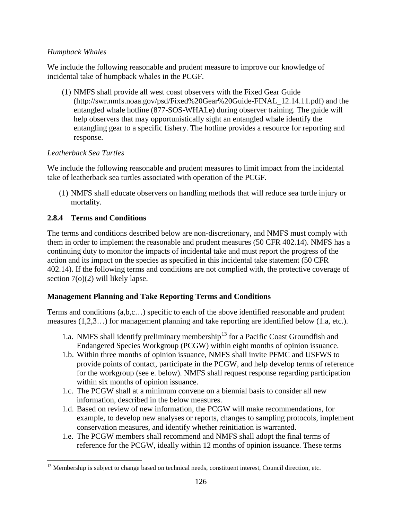## *Humpback Whales*

We include the following reasonable and prudent measure to improve our knowledge of incidental take of humpback whales in the PCGF.

(1) NMFS shall provide all west coast observers with the Fixed Gear Guide [\(http://swr.nmfs.noaa.gov/psd/Fixed%20Gear%20Guide-FINAL\\_12.14.11.pdf\)](http://swr.nmfs.noaa.gov/psd/Fixed%20Gear%20Guide-FINAL_12.14.11.pdf) and the entangled whale hotline (877-SOS-WHALe) during observer training. The guide will help observers that may opportunistically sight an entangled whale identify the entangling gear to a specific fishery. The hotline provides a resource for reporting and response.

## *Leatherback Sea Turtles*

We include the following reasonable and prudent measures to limit impact from the incidental take of leatherback sea turtles associated with operation of the PCGF.

(1) NMFS shall educate observers on handling methods that will reduce sea turtle injury or mortality.

## **2.8.4 Terms and Conditions**

The terms and conditions described below are non-discretionary, and NMFS must comply with them in order to implement the reasonable and prudent measures (50 CFR 402.14). NMFS has a continuing duty to monitor the impacts of incidental take and must report the progress of the action and its impact on the species as specified in this incidental take statement (50 CFR 402.14). If the following terms and conditions are not complied with, the protective coverage of section 7(o)(2) will likely lapse.

## **Management Planning and Take Reporting Terms and Conditions**

Terms and conditions (a,b,c…) specific to each of the above identified reasonable and prudent measures (1,2,3…) for management planning and take reporting are identified below (1.a, etc.).

- 1.a. NMFS shall identify preliminary membership<sup>[13](#page-8-0)</sup> for a Pacific Coast Groundfish and Endangered Species Workgroup (PCGW) within eight months of opinion issuance.
- 1.b. Within three months of opinion issuance, NMFS shall invite PFMC and USFWS to provide points of contact, participate in the PCGW, and help develop terms of reference for the workgroup (see e. below). NMFS shall request response regarding participation within six months of opinion issuance.
- 1.c. The PCGW shall at a minimum convene on a biennial basis to consider all new information, described in the below measures.
- 1.d. Based on review of new information, the PCGW will make recommendations, for example, to develop new analyses or reports, changes to sampling protocols, implement conservation measures, and identify whether reinitiation is warranted.
- 1.e. The PCGW members shall recommend and NMFS shall adopt the final terms of reference for the PCGW, ideally within 12 months of opinion issuance. These terms

<span id="page-8-0"></span><sup>&</sup>lt;sup>13</sup> Membership is subject to change based on technical needs, constituent interest, Council direction, etc.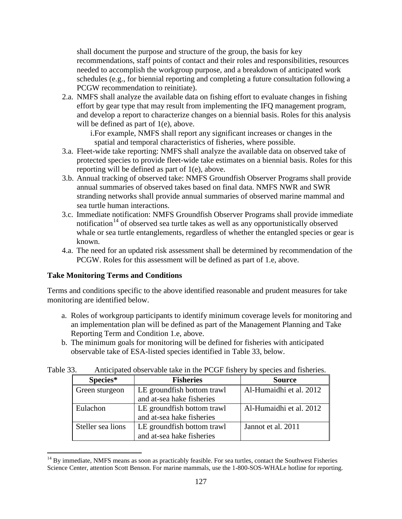shall document the purpose and structure of the group, the basis for key recommendations, staff points of contact and their roles and responsibilities, resources needed to accomplish the workgroup purpose, and a breakdown of anticipated work schedules (e.g., for biennial reporting and completing a future consultation following a PCGW recommendation to reinitiate).

2.a. NMFS shall analyze the available data on fishing effort to evaluate changes in fishing effort by gear type that may result from implementing the IFQ management program, and develop a report to characterize changes on a biennial basis. Roles for this analysis will be defined as part of 1(e), above.

i.For example, NMFS shall report any significant increases or changes in the spatial and temporal characteristics of fisheries, where possible.

- 3.a. Fleet-wide take reporting: NMFS shall analyze the available data on observed take of protected species to provide fleet-wide take estimates on a biennial basis. Roles for this reporting will be defined as part of 1(e), above.
- 3.b. Annual tracking of observed take: NMFS Groundfish Observer Programs shall provide annual summaries of observed takes based on final data. NMFS NWR and SWR stranding networks shall provide annual summaries of observed marine mammal and sea turtle human interactions.
- 3.c. Immediate notification: NMFS Groundfish Observer Programs shall provide immediate notification<sup>[14](#page-9-0)</sup> of observed sea turtle takes as well as any opportunistically observed whale or sea turtle entanglements, regardless of whether the entangled species or gear is known.
- 4.a. The need for an updated risk assessment shall be determined by recommendation of the PCGW. Roles for this assessment will be defined as part of 1.e, above.

## **Take Monitoring Terms and Conditions**

Terms and conditions specific to the above identified reasonable and prudent measures for take monitoring are identified below.

- a. Roles of workgroup participants to identify minimum coverage levels for monitoring and an implementation plan will be defined as part of the Management Planning and Take Reporting Term and Condition 1.e, above.
- b. The minimum goals for monitoring will be defined for fisheries with anticipated observable take of ESA-listed species identified in Table 33, below.

| . ب<br>$\frac{1}{2}$ interpreted observable take in the $\frac{1}{2}$ COT Theory $\frac{1}{2}$ by operator and from the $\frac{1}{2}$ . |                             |                         |  |  |
|-----------------------------------------------------------------------------------------------------------------------------------------|-----------------------------|-------------------------|--|--|
| Species*                                                                                                                                | <b>Fisheries</b>            | <b>Source</b>           |  |  |
| Green sturgeon                                                                                                                          | LE groundfish bottom trawl  | Al-Humaidhi et al. 2012 |  |  |
|                                                                                                                                         | and at-sea hake fisheries   |                         |  |  |
| Eulachon                                                                                                                                | LE ground fish bottom trawl | Al-Humaidhi et al. 2012 |  |  |
|                                                                                                                                         | and at-sea hake fisheries   |                         |  |  |
| Steller sea lions                                                                                                                       | LE groundfish bottom trawl  | Jannot et al. 2011      |  |  |
|                                                                                                                                         | and at-sea hake fisheries   |                         |  |  |

Table 33. Anticipated observable take in the PCGF fishery by species and fisheries.

<span id="page-9-0"></span> $14$  By immediate, NMFS means as soon as practicably feasible. For sea turtles, contact the Southwest Fisheries Science Center, attention Scott Benson. For marine mammals, use the 1-800-SOS-WHALe hotline for reporting.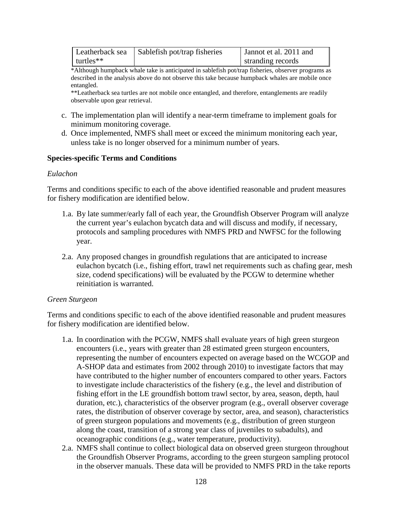| Leatherback sea | Sablefish pot/trap fisheries | Jannot et al. 2011 and |  |
|-----------------|------------------------------|------------------------|--|
| $t$ urtles**    |                              | stranding records      |  |

\*Although humpback whale take is anticipated in sablefish pot/trap fisheries, observer programs as described in the analysis above do not observe this take because humpback whales are mobile once entangled.

\*\*Leatherback sea turtles are not mobile once entangled, and therefore, entanglements are readily observable upon gear retrieval.

- c. The implementation plan will identify a near-term timeframe to implement goals for minimum monitoring coverage.
- d. Once implemented, NMFS shall meet or exceed the minimum monitoring each year, unless take is no longer observed for a minimum number of years.

### **Species-specific Terms and Conditions**

### *Eulachon*

Terms and conditions specific to each of the above identified reasonable and prudent measures for fishery modification are identified below.

- 1.a. By late summer/early fall of each year, the Groundfish Observer Program will analyze the current year's eulachon bycatch data and will discuss and modify, if necessary, protocols and sampling procedures with NMFS PRD and NWFSC for the following year.
- 2.a. Any proposed changes in groundfish regulations that are anticipated to increase eulachon bycatch (i.e., fishing effort, trawl net requirements such as chafing gear, mesh size, codend specifications) will be evaluated by the PCGW to determine whether reinitiation is warranted.

### *Green Sturgeon*

Terms and conditions specific to each of the above identified reasonable and prudent measures for fishery modification are identified below.

- 1.a. In coordination with the PCGW, NMFS shall evaluate years of high green sturgeon encounters (i.e., years with greater than 28 estimated green sturgeon encounters, representing the number of encounters expected on average based on the WCGOP and A-SHOP data and estimates from 2002 through 2010) to investigate factors that may have contributed to the higher number of encounters compared to other years. Factors to investigate include characteristics of the fishery (e.g., the level and distribution of fishing effort in the LE groundfish bottom trawl sector, by area, season, depth, haul duration, etc.), characteristics of the observer program (e.g., overall observer coverage rates, the distribution of observer coverage by sector, area, and season), characteristics of green sturgeon populations and movements (e.g., distribution of green sturgeon along the coast, transition of a strong year class of juveniles to subadults), and oceanographic conditions (e.g., water temperature, productivity).
- 2.a. NMFS shall continue to collect biological data on observed green sturgeon throughout the Groundfish Observer Programs, according to the green sturgeon sampling protocol in the observer manuals. These data will be provided to NMFS PRD in the take reports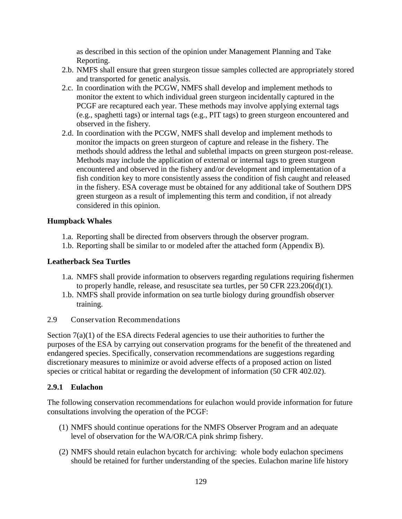as described in this section of the opinion under Management Planning and Take Reporting.

- 2.b. NMFS shall ensure that green sturgeon tissue samples collected are appropriately stored and transported for genetic analysis.
- 2.c. In coordination with the PCGW, NMFS shall develop and implement methods to monitor the extent to which individual green sturgeon incidentally captured in the PCGF are recaptured each year. These methods may involve applying external tags (e.g., spaghetti tags) or internal tags (e.g., PIT tags) to green sturgeon encountered and observed in the fishery.
- 2.d. In coordination with the PCGW, NMFS shall develop and implement methods to monitor the impacts on green sturgeon of capture and release in the fishery. The methods should address the lethal and sublethal impacts on green sturgeon post-release. Methods may include the application of external or internal tags to green sturgeon encountered and observed in the fishery and/or development and implementation of a fish condition key to more consistently assess the condition of fish caught and released in the fishery. ESA coverage must be obtained for any additional take of Southern DPS green sturgeon as a result of implementing this term and condition, if not already considered in this opinion.

## **Humpback Whales**

- 1.a. Reporting shall be directed from observers through the observer program.
- 1.b. Reporting shall be similar to or modeled after the attached form (Appendix B).

### **Leatherback Sea Turtles**

- 1.a. NMFS shall provide information to observers regarding regulations requiring fishermen to properly handle, release, and resuscitate sea turtles, per 50 CFR 223.206(d)(1).
- 1.b. NMFS shall provide information on sea turtle biology during groundfish observer training.
- 2.9 Conservation Recommendations

Section  $7(a)(1)$  of the ESA directs Federal agencies to use their authorities to further the purposes of the ESA by carrying out conservation programs for the benefit of the threatened and endangered species. Specifically, conservation recommendations are suggestions regarding discretionary measures to minimize or avoid adverse effects of a proposed action on listed species or critical habitat or regarding the development of information (50 CFR 402.02).

## **2.9.1 Eulachon**

The following conservation recommendations for eulachon would provide information for future consultations involving the operation of the PCGF:

- (1) NMFS should continue operations for the NMFS Observer Program and an adequate level of observation for the WA/OR/CA pink shrimp fishery.
- (2) NMFS should retain eulachon bycatch for archiving: whole body eulachon specimens should be retained for further understanding of the species. Eulachon marine life history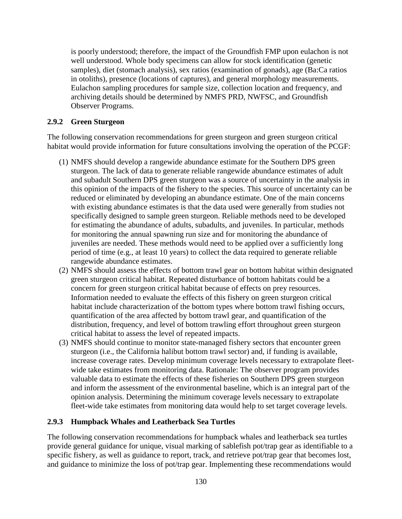is poorly understood; therefore, the impact of the Groundfish FMP upon eulachon is not well understood. Whole body specimens can allow for stock identification (genetic samples), diet (stomach analysis), sex ratios (examination of gonads), age (Ba:Ca ratios in otoliths), presence (locations of captures), and general morphology measurements. Eulachon sampling procedures for sample size, collection location and frequency, and archiving details should be determined by NMFS PRD, NWFSC, and Groundfish Observer Programs.

### **2.9.2 Green Sturgeon**

The following conservation recommendations for green sturgeon and green sturgeon critical habitat would provide information for future consultations involving the operation of the PCGF:

- (1) NMFS should develop a rangewide abundance estimate for the Southern DPS green sturgeon. The lack of data to generate reliable rangewide abundance estimates of adult and subadult Southern DPS green sturgeon was a source of uncertainty in the analysis in this opinion of the impacts of the fishery to the species. This source of uncertainty can be reduced or eliminated by developing an abundance estimate. One of the main concerns with existing abundance estimates is that the data used were generally from studies not specifically designed to sample green sturgeon. Reliable methods need to be developed for estimating the abundance of adults, subadults, and juveniles. In particular, methods for monitoring the annual spawning run size and for monitoring the abundance of juveniles are needed. These methods would need to be applied over a sufficiently long period of time (e.g., at least 10 years) to collect the data required to generate reliable rangewide abundance estimates.
- (2) NMFS should assess the effects of bottom trawl gear on bottom habitat within designated green sturgeon critical habitat. Repeated disturbance of bottom habitats could be a concern for green sturgeon critical habitat because of effects on prey resources. Information needed to evaluate the effects of this fishery on green sturgeon critical habitat include characterization of the bottom types where bottom trawl fishing occurs, quantification of the area affected by bottom trawl gear, and quantification of the distribution, frequency, and level of bottom trawling effort throughout green sturgeon critical habitat to assess the level of repeated impacts.
- (3) NMFS should continue to monitor state-managed fishery sectors that encounter green sturgeon (i.e., the California halibut bottom trawl sector) and, if funding is available, increase coverage rates. Develop minimum coverage levels necessary to extrapolate fleetwide take estimates from monitoring data. Rationale: The observer program provides valuable data to estimate the effects of these fisheries on Southern DPS green sturgeon and inform the assessment of the environmental baseline, which is an integral part of the opinion analysis. Determining the minimum coverage levels necessary to extrapolate fleet-wide take estimates from monitoring data would help to set target coverage levels.

## **2.9.3 Humpback Whales and Leatherback Sea Turtles**

The following conservation recommendations for humpback whales and leatherback sea turtles provide general guidance for unique, visual marking of sablefish pot/trap gear as identifiable to a specific fishery, as well as guidance to report, track, and retrieve pot/trap gear that becomes lost, and guidance to minimize the loss of pot/trap gear. Implementing these recommendations would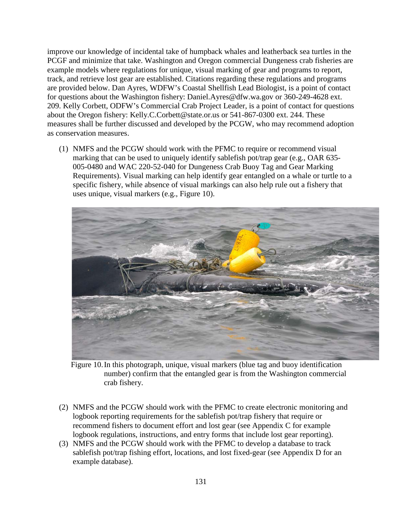improve our knowledge of incidental take of humpback whales and leatherback sea turtles in the PCGF and minimize that take. Washington and Oregon commercial Dungeness crab fisheries are example models where regulations for unique, visual marking of gear and programs to report, track, and retrieve lost gear are established. Citations regarding these regulations and programs are provided below. Dan Ayres, WDFW's Coastal Shellfish Lead Biologist, is a point of contact for questions about the Washington fishery: [Daniel.Ayres@dfw.wa.gov](mailto:Daniel.Ayres@dfw.wa.gov) or 360-249-4628 ext. 209. Kelly Corbett, ODFW's Commercial Crab Project Leader, is a point of contact for questions about the Oregon fishery: [Kelly.C.Corbett@state.or.us](mailto:Kelly.C.Corbett@state.or.us) or 541-867-0300 ext. 244. These measures shall be further discussed and developed by the PCGW, who may recommend adoption as conservation measures.

(1) NMFS and the PCGW should work with the PFMC to require or recommend visual marking that can be used to uniquely identify sablefish pot/trap gear (e.g., OAR 635- 005-0480 and WAC 220-52-040 for Dungeness Crab Buoy Tag and Gear Marking Requirements). Visual marking can help identify gear entangled on a whale or turtle to a specific fishery, while absence of visual markings can also help rule out a fishery that uses unique, visual markers (e.g., Figure 10).



Figure 10.In this photograph, unique, visual markers (blue tag and buoy identification number) confirm that the entangled gear is from the Washington commercial crab fishery.

- (2) NMFS and the PCGW should work with the PFMC to create electronic monitoring and logbook reporting requirements for the sablefish pot/trap fishery that require or recommend fishers to document effort and lost gear (see Appendix C for example logbook regulations, instructions, and entry forms that include lost gear reporting).
- (3) NMFS and the PCGW should work with the PFMC to develop a database to track sablefish pot/trap fishing effort, locations, and lost fixed-gear (see Appendix D for an example database).